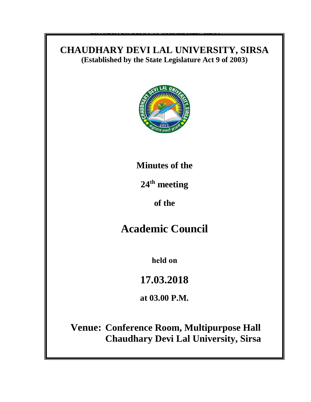## **CHAUDHARY DEVI LAL UNIVERSITY, SIRSA** (Established by the State Legislature Act 9 of 2003)

**CHAUDHARY DES CHAUDHARY CHAUDHARY SIR**SAL<br>.



To

**Sub: 9**

Sir/Madam,

DA/as above

convenient to attend the meeting.

# **Minutes of the**

**24<sup>th</sup> meeting** 

this University scheduled to be held on \_\_\_\_\_\_\_\_\_\_\_ **at \_\_\_\_\_\_\_\_\_\_ in the Seminar** 

**Hall, Tagore Bhawan, Chaudhary Devi Lal University, Sirsa.**  $\mathbf{F}$  **is a strong matrix matrix make it is a strong matrix matrix matrix matrix matrix matrix matrix matrix matrix matrix matrix matrix matrix matrix matrix ma of the**

# **Academic Council**

**held on**

**17.03.2018**

Endstein and the second and the second and the second and the second and the second and the second and the second  $\overline{u}$ **at 03.00 P.M.** 

Copy of the above is forwarded to the following for information and necessary actio

 **Chaudhary Devi Lal University, SirsaVenue: Conference Room, Multipurpose Hall**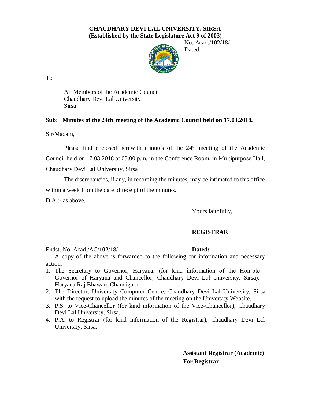### **CHAUDHARY DEVI LAL UNIVERSITY, SIRSA (Established by the State Legislature Act 9 of 2003)**

 No. Acad./**102**/18/ Dated:

To

All Members of the Academic Council Chaudhary Devi Lal University Sirsa

### **Sub: Minutes of the 24th meeting of the Academic Council held on 17.03.2018.**

Sir/Madam,

Please find enclosed herewith minutes of the 24<sup>th</sup> meeting of the Academic Council held on 17.03.2018 at 03.00 p.m. in the Conference Room, in Multipurpose Hall, Chaudhary Devi Lal University, Sirsa

The discrepancies, if any, in recording the minutes, may be intimated to this office within a week from the date of receipt of the minutes.

D.A.:- as above.

Yours faithfully,

### **REGISTRAR**

Endst. No. Acad./AC/**102**/18/ **Dated:** 

A copy of the above is forwarded to the following for information and necessary action:

- 1. The Secretary to Governor, Haryana. (for kind information of the Hon'ble Governor of Haryana and Chancellor, Chaudhary Devi Lal University, Sirsa), Haryana Raj Bhawan, Chandigarh.
- 2. The Director, University Computer Centre, Chaudhary Devi Lal University, Sirsa with the request to upload the minutes of the meeting on the University Website.
- 3. P.S. to Vice-Chancellor (for kind information of the Vice-Chancellor), Chaudhary Devi Lal University, Sirsa.
- 4. P.A. to Registrar (for kind information of the Registrar), Chaudhary Devi Lal University, Sirsa.

**Assistant Registrar (Academic) For Registrar**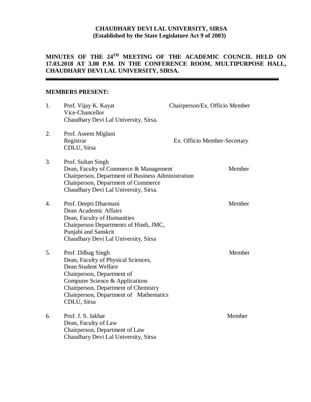### **CHAUDHARY DEVI LAL UNIVERSITY, SIRSA (Established by the State Legislature Act 9 of 2003)**

### **MINUTES OF THE 24 TH MEETING OF THE ACADEMIC COUNCIL HELD ON 17.03.2018 AT 3.00 P.M. IN THE CONFERENCE ROOM, MULTIPURPOSE HALL, CHAUDHARY DEVI LAL UNIVERSITY, SIRSA.**

### **MEMBERS PRESENT:**

| 1. | Prof. Vijay K. Kayat<br>Vice-Chancellor<br>Chaudhary Devi Lal University, Sirsa.                                                                                                                                                                    | Chairperson/Ex. Officio Member |        |
|----|-----------------------------------------------------------------------------------------------------------------------------------------------------------------------------------------------------------------------------------------------------|--------------------------------|--------|
| 2. | Prof. Aseem Miglani<br>Registrar<br>CDLU, Sirsa                                                                                                                                                                                                     | Ex. Officio Member-Secretary   |        |
| 3. | Prof. Sultan Singh<br>Dean, Faculty of Commerce & Management<br>Chairperson, Department of Business Administration<br>Chairperson, Department of Commerce<br>Chaudhary Devi Lal University, Sirsa.                                                  |                                | Member |
| 4. | Prof. Deepti Dharmani<br>Dean Academic Affairs<br>Dean, Faculty of Humanities<br>Chairperson Departments of Hindi, JMC,<br>Punjabi and Sanskrit<br>Chaudhary Devi Lal University, Sirsa                                                             |                                | Member |
| 5. | Prof. Dilbag Singh<br>Dean, Faculty of Physical Sciences,<br>Dean Student Welfare<br>Chairperson, Department of<br>Computer Science & Applications<br>Chairperson, Department of Chemistry<br>Chairperson, Department of Mathematics<br>CDLU, Sirsa |                                | Member |
| 6. | Prof. J. S. Jakhar<br>Dean, Faculty of Law<br>Chairperson, Department of Law<br>Chaudhary Devi Lal University, Sirsa                                                                                                                                |                                | Member |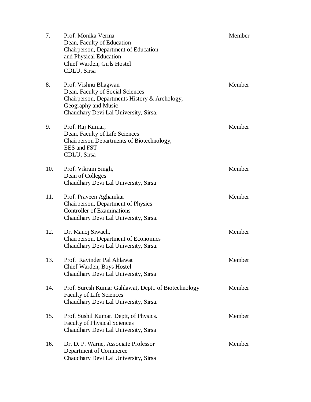| 7.  | Prof. Monika Verma<br>Dean, Faculty of Education<br>Chairperson, Department of Education<br>and Physical Education<br>Chief Warden, Girls Hostel<br>CDLU, Sirsa           | Member |
|-----|---------------------------------------------------------------------------------------------------------------------------------------------------------------------------|--------|
| 8.  | Prof. Vishnu Bhagwan<br>Dean, Faculty of Social Sciences<br>Chairperson, Departments History & Archology,<br>Geography and Music<br>Chaudhary Devi Lal University, Sirsa. | Member |
| 9.  | Prof. Raj Kumar,<br>Dean, Faculty of Life Sciences<br>Chairperson Departments of Biotechnology,<br><b>EES</b> and <b>FST</b><br>CDLU, Sirsa                               | Member |
| 10. | Prof. Vikram Singh,<br>Dean of Colleges<br>Chaudhary Devi Lal University, Sirsa                                                                                           | Member |
| 11. | Prof. Praveen Aghamkar<br>Chairperson, Department of Physics<br><b>Controller of Examinations</b><br>Chaudhary Devi Lal University, Sirsa.                                | Member |
| 12. | Dr. Manoj Siwach,<br>Chairperson, Department of Economics<br>Chaudhary Devi Lal University, Sirsa.                                                                        | Member |
| 13. | Prof. Ravinder Pal Ahlawat<br>Chief Warden, Boys Hostel<br>Chaudhary Devi Lal University, Sirsa                                                                           | Member |
| 14. | Prof. Suresh Kumar Gahlawat, Deptt. of Biotechnology<br><b>Faculty of Life Sciences</b><br>Chaudhary Devi Lal University, Sirsa.                                          | Member |
| 15. | Prof. Sushil Kumar. Deptt, of Physics.<br><b>Faculty of Physical Sciences</b><br>Chaudhary Devi Lal University, Sirsa                                                     | Member |
| 16. | Dr. D. P. Warne, Associate Professor<br>Department of Commerce<br>Chaudhary Devi Lal University, Sirsa                                                                    | Member |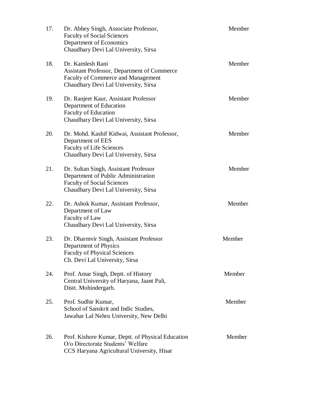| 17. | Dr. Abhey Singh, Associate Professor,<br><b>Faculty of Social Sciences</b><br>Department of Economics<br>Chaudhary Devi Lal University, Sirsa             | Member |
|-----|-----------------------------------------------------------------------------------------------------------------------------------------------------------|--------|
| 18. | Dr. Kamlesh Rani<br>Assistant Professor, Department of Commerce<br><b>Faculty of Commerce and Management</b><br>Chaudhary Devi Lal University, Sirsa      | Member |
| 19. | Dr. Ranjeet Kaur, Assistant Professor<br>Department of Education<br><b>Faculty of Education</b><br>Chaudhary Devi Lal University, Sirsa                   | Member |
| 20. | Dr. Mohd. Kashif Kidwai, Assistant Professor,<br>Department of EES<br><b>Faculty of Life Sciences</b><br>Chaudhary Devi Lal University, Sirsa             | Member |
| 21. | Dr. Sultan Singh, Assistant Professor<br>Department of Public Administration<br><b>Faculty of Social Sciences</b><br>Chaudhary Devi Lal University, Sirsa | Member |
| 22. | Dr. Ashok Kumar, Assistant Professor,<br>Department of Law<br>Faculty of Law<br>Chaudhary Devi Lal University, Sirsa                                      | Member |
| 23. | Dr. Dharmvir Singh, Assistant Professor<br>Department of Physics<br><b>Faculty of Physical Sciences</b><br>Ch. Devi Lal University, Sirsa                 | Member |
| 24. | Prof. Amar Singh, Deptt. of History<br>Central University of Haryana, Jaant Pali,<br>Distt. Mohindergarh.                                                 | Member |
| 25. | Prof. Sudhir Kumar,<br>School of Sanskrit and Indic Studies,<br>Jawahar Lal Nehru University, New Delhi                                                   | Member |
| 26. | Prof. Kishore Kumar, Deptt. of Physical Education<br>O/o Directorate Students' Welfare<br>CCS Haryana Agricultural University, Hisar                      | Member |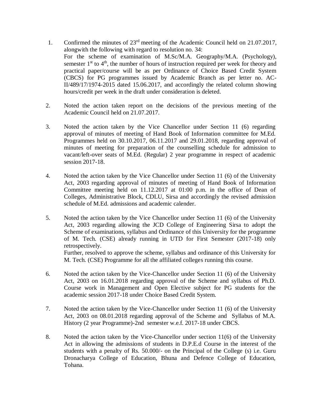- 1. Confirmed the minutes of 23rd meeting of the Academic Council held on 21.07.2017, alongwith the following with regard to resolution no. 34: For the scheme of examination of M.Sc/M.A. Geography/M.A. (Psychology), semester  $1<sup>st</sup>$  to  $4<sup>th</sup>$ , the number of hours of instruction required per week for theory and practical paper/course will be as per Ordinance of Choice Based Credit System (CBCS) for PG programmes issued by Academic Branch as per letter no. AC-II/489/17/1974-2015 dated 15.06.2017, and accordingly the related column showing hours/credit per week in the draft under consideration is deleted.
- 2. Noted the action taken report on the decisions of the previous meeting of the Academic Council held on 21.07.2017.
- 3. Noted the action taken by the Vice Chancellor under Section 11 (6) regarding approval of minutes of meeting of Hand Book of Information committee for M.Ed. Programmes held on 30.10.2017, 06.11.2017 and 29.01.2018, regarding approval of minutes of meeting for preparation of the counselling schedule for admission to vacant/left-over seats of M.Ed. (Regular) 2 year programme in respect of academic session 2017-18.
- 4. Noted the action taken by the Vice Chancellor under Section 11 (6) of the University Act, 2003 regarding approval of minutes of meeting of Hand Book of Information Committee meeting held on 11.12.2017 at 01:00 p.m. in the office of Dean of Colleges, Administrative Block, CDLU, Sirsa and accordingly the revised admission schedule of M.Ed. admissions and academic calender.
- 5. Noted the action taken by the Vice Chancellor under Section 11 (6) of the University Act, 2003 regarding allowing the JCD College of Engineering Sirsa to adopt the Scheme of examinations, syllabus and Ordinance of this University for the programme of M. Tech. (CSE) already running in UTD for First Semester (2017-18) only retrospectively. Further, resolved to approve the scheme, syllabus and ordinance of this University for M. Tech. (CSE) Programme for all the affiliated colleges running this course.
- 6. Noted the action taken by the Vice-Chancellor under Section 11 (6) of the University Act, 2003 on 16.01.2018 regarding approval of the Scheme and syllabus of Ph.D. Course work in Management and Open Elective subject for PG students for the academic session 2017-18 under Choice Based Credit System.
- 7. Noted the action taken by the Vice-Chancellor under Section 11 (6) of the University Act, 2003 on 08.01.2018 regarding approval of the Scheme and Syllabus of M.A. History (2 year Programme)-2nd semester w.e.f. 2017-18 under CBCS.
- 8. Noted the action taken by the Vice-Chancellor under section 11(6) of the University Act in allowing the admissions of students in D.P.E.d Course in the interest of the students with a penalty of Rs. 50.000/- on the Principal of the College (s) i.e. Guru Dronacharya College of Education, Bhuna and Defence College of Education, Tohana.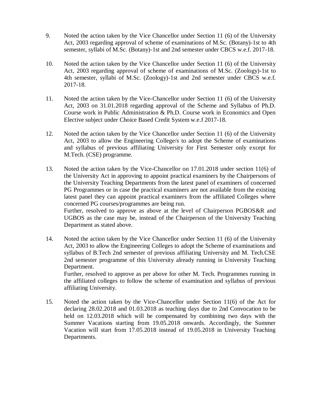- 9. Noted the action taken by the Vice Chancellor under Section 11 (6) of the University Act, 2003 regarding approval of scheme of examinations of M.Sc. (Botany)-1st to 4th semester, syllabi of M.Sc. (Botany)-1st and 2nd semester under CBCS w.e.f. 2017-18.
- 10. Noted the action taken by the Vice Chancellor under Section 11 (6) of the University Act, 2003 regarding approval of scheme of examinations of M.Sc. (Zoology)-1st to 4th semester, syllabi of M.Sc. (Zoology)-1st and 2nd semester under CBCS w.e.f. 2017-18.
- 11. Noted the action taken by the Vice-Chancellor under Section 11 (6) of the University Act, 2003 on 31.01.2018 regarding approval of the Scheme and Syllabus of Ph.D. Course work in Public Administration & Ph.D. Course work in Economics and Open Elective subject under Choice Based Credit System w.e.f 2017-18.
- 12. Noted the action taken by the Vice Chancellor under Section 11 (6) of the University Act, 2003 to allow the Engineering College/s to adopt the Scheme of examinations and syllabus of previous affiliating University for First Semester only except for M.Tech. (CSE) programme.
- 13. Noted the action taken by the Vice-Chancellor on 17.01.2018 under section 11(6) of the University Act in approving to appoint practical examiners by the Chairpersons of the University Teaching Departments from the latest panel of examiners of concerned PG Programmes or in case the practical examiners are not available from the existing latest panel they can appoint practical examiners from the affiliated Colleges where concerned PG courses/programmes are being run. Further, resolved to approve as above at the level of Chairperson PGBOS&R and UGBOS as the case may be, instead of the Chairperson of the University Teaching Department as stated above.
- 14. Noted the action taken by the Vice Chancellor under Section 11 (6) of the University Act, 2003 to allow the Engineering Colleges to adopt the Scheme of examinations and syllabus of B.Tech 2nd semester of previous affiliating University and M. Tech.CSE 2nd semester programme of this University already running in University Teaching Department. Further, resolved to approve as per above for other M. Tech. Programmes running in

the affiliated colleges to follow the scheme of examination and syllabus of previous affiliating University.

15. Noted the action taken by the Vice-Chancellor under Section 11(6) of the Act for declaring 28.02.2018 and 01.03.2018 as teaching days due to 2nd Convocation to be held on 12.03.2018 which will be compensated by combining two days with the Summer Vacations starting from 19.05.2018 onwards. Accordingly, the Summer Vacation will start from 17.05.2018 instead of 19.05.2018 in University Teaching Departments.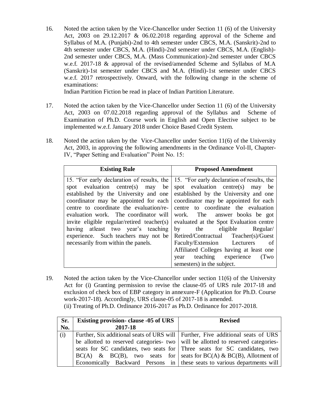16. Noted the action taken by the Vice-Chancellor under Section 11 (6) of the University Act, 2003 on 29.12.2017 & 06.02.2018 regarding approval of the Scheme and Syllabus of M.A. (Punjabi)-2nd to 4th semester under CBCS, M.A. (Sanskrit)-2nd to 4th semester under CBCS, M.A. (Hindi)-2nd semester under CBCS, M.A. (English)- 2nd semester under CBCS, M.A. (Mass Communication)-2nd semester under CBCS w.e.f. 2017-18 & approval of the revised/amended Scheme and Syllabus of M.A (Sanskrit)-1st semester under CBCS and M.A. (Hindi)-1st semester under CBCS w.e.f. 2017 retrospectively. Onward, with the following change in the scheme of examinations:

Indian Partition Fiction be read in place of Indian Partition Literature.

- 17. Noted the action taken by the Vice-Chancellor under Section 11 (6) of the University Act, 2003 on 07.02.2018 regarding approval of the Syllabus and Scheme of Examination of Ph.D. Course work in English and Open Elective subject to be implemented w.e.f. January 2018 under Choice Based Credit System.
- 18. Noted the action taken by the Vice-Chancellor under Section 11(6) of the University Act, 2003, in approving the following amendments in the Ordinance Vol-II, Chapter-IV, "Paper Setting and Evaluation" Point No. 15:

| <b>Existing Rule</b>                                                                                                                                                                                                                                                                                                                                                                                                           | <b>Proposed Amendment</b>                                                                                                                                                                                                                                                                                                                                                                                                                                                                                         |
|--------------------------------------------------------------------------------------------------------------------------------------------------------------------------------------------------------------------------------------------------------------------------------------------------------------------------------------------------------------------------------------------------------------------------------|-------------------------------------------------------------------------------------------------------------------------------------------------------------------------------------------------------------------------------------------------------------------------------------------------------------------------------------------------------------------------------------------------------------------------------------------------------------------------------------------------------------------|
| 15. "For early declaration of results, the<br>evaluation centre(s) may<br>be<br>spot<br>established by the University and one<br>coordinator may be appointed for each<br>centre to coordinate the evaluation/re-<br>evaluation work. The coordinator will<br>invite eligible regular/retired teacher(s)<br>having at least two year's teaching<br>experience. Such teachers may not be<br>necessarily from within the panels. | 15. "For early declaration of results, the<br>spot evaluation centre $(s)$<br>may be<br>established by the University and one<br>coordinator may be appointed for each<br>centre to coordinate the evaluation<br>work. The answer books be got<br>evaluated at the Spot Evaluation centre<br>the eligible<br>$\mathbf{b} \mathbf{v}$<br>Regular/<br>Retired/Contractual Teacher(s)/Guest<br>Faculty/Extension Lecturers<br>– of<br>Affiliated Colleges having at least one<br>teaching experience<br>(Two<br>year |
|                                                                                                                                                                                                                                                                                                                                                                                                                                | semesters) in the subject.                                                                                                                                                                                                                                                                                                                                                                                                                                                                                        |

19. Noted the action taken by the Vice-Chancellor under section 11(6) of the University Act for (i) Granting permission to revise the clause-05 of URS rule 2017-18 and exclusion of check box of EBP category in annexure-F (Application for Ph.D. Course work-2017-18). Accordingly, URS clause-05 of 2017-18 is amended. (ii) Treating of Ph.D. Ordinance 2016-2017 as Ph.D. Ordinance for 2017-2018.

| Sr. | <b>Existing provision- clause -05 of URS</b>                                    | <b>Revised</b> |
|-----|---------------------------------------------------------------------------------|----------------|
| No. | 2017-18                                                                         |                |
| (i) | Further, Six additional seats of URS will Further, Five additional seats of URS |                |
|     | be allotted to reserved categories two will be allotted to reserved categories- |                |
|     | seats for SC candidates, two seats for Three seats for SC candidates, two       |                |
|     | $BC(A)$ & $BC(B)$ , two seats for seats for $BC(A)$ & $BC(B)$ , Allotment of    |                |
|     | Economically Backward Persons in these seats to various departments will        |                |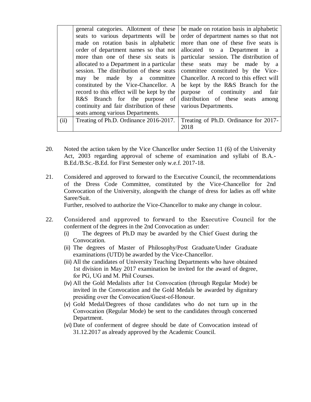|      | general categories. Allotment of these                                         | be made on rotation basis in alphabetic                             |  |  |
|------|--------------------------------------------------------------------------------|---------------------------------------------------------------------|--|--|
|      | seats to various departments will be                                           | order of department names so that not                               |  |  |
|      | made on rotation basis in alphabetic                                           | more than one of these five seats is                                |  |  |
|      | order of department names so that not                                          | allocated to a Department in a                                      |  |  |
|      | particular session. The distribution of<br>more than one of these six seats is |                                                                     |  |  |
|      | allocated to a Department in a particular                                      | these seats may be made by a                                        |  |  |
|      | session. The distribution of these seats                                       | committee constituted by the Vice-                                  |  |  |
|      |                                                                                | may be made by a committee Chancellor. A record to this effect will |  |  |
|      | constituted by the Vice-Chancellor. A be kept by the R&S Branch for the        |                                                                     |  |  |
|      | record to this effect will be kept by the   purpose of continuity and fair     |                                                                     |  |  |
|      | R&S Branch for the purpose of distribution of these seats among                |                                                                     |  |  |
|      | continuity and fair distribution of these   various Departments.               |                                                                     |  |  |
|      | seats among various Departments.                                               |                                                                     |  |  |
| (ii) | Treating of Ph.D. Ordinance 2016-2017.                                         | Treating of Ph.D. Ordinance for 2017-                               |  |  |
|      |                                                                                | 2018                                                                |  |  |

- 20. Noted the action taken by the Vice Chancellor under Section 11 (6) of the University Act, 2003 regarding approval of scheme of examination and syllabi of B.A.- B.Ed./B.Sc.-B.Ed. for First Semester only w.e.f. 2017-18.
- 21. Considered and approved to forward to the Executive Council, the recommendations of the Dress Code Committee, constituted by the Vice-Chancellor for 2nd Convocation of the University, alongwith the change of dress for ladies as off white Saree/Suit.

Further, resolved to authorize the Vice-Chancellor to make any change in colour.

- 22. Considered and approved to forward to the Executive Council for the conferment of the degrees in the 2nd Convocation as under:
	- (i) The degrees of Ph.D may be awarded by the Chief Guest during the Convocation.
	- (ii) The degrees of Master of Philosophy/Post Graduate/Under Graduate examinations (UTD) be awarded by the Vice-Chancellor.
	- (iii) All the candidates of University Teaching Departments who have obtained 1st division in May 2017 examination be invited for the award of degree, for PG, UG and M. Phil Courses.
	- (iv) All the Gold Medalists after 1st Convocation (through Regular Mode) be invited in the Convocation and the Gold Medals be awarded by dignitary presiding over the Convocation/Guest-of-Honour.
	- (v) Gold Medal/Degrees of those candidates who do not turn up in the Convocation (Regular Mode) be sent to the candidates through concerned Department.
	- (vi) Date of conferment of degree should be date of Convocation instead of 31.12.2017 as already approved by the Academic Council.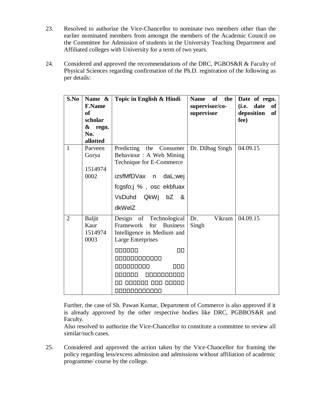- 23. Resolved to authorize the Vice-Chancellor to nominate two members other than the earlier nominated members from amongst the members of the Academic Council on the Committee for Admission of students in the University Teaching Department and Affiliated colleges with University for a term of two years.
- 24. Considered and approved the recommendations of the DRC, PGBOS&R & Faculty of Physical Sciences regarding confirmation of the Ph.D. registration of the following as per details:

| S.No           | Name &<br><b>F.Name</b><br><sub>of</sub><br>scholar<br>& regn.<br>No.<br>allotted | Topic in English & Hindi                                                                                                                                                                                                                                  | Name of the<br>supervisor/co-<br>supervisor | Date of regn.<br>(i.e. date<br>of<br>deposition<br><b>of</b><br>fee) |
|----------------|-----------------------------------------------------------------------------------|-----------------------------------------------------------------------------------------------------------------------------------------------------------------------------------------------------------------------------------------------------------|---------------------------------------------|----------------------------------------------------------------------|
| $\mathbf{1}$   | Parveen<br>Gorya<br>1514974<br>0002                                               | Predicting<br>the Consumer<br>Behaviour : A Web Mining<br>Technique for E-Commerce<br>izsfMfDVax n daL;wej<br>fcgsfo;j %, osc ekbfuax<br>VsDuhd QkWj bZ<br>&<br>dkWelZ                                                                                    | Dr. Dilbag Singh                            | 04.09.15                                                             |
| $\overline{2}$ | <b>Baljit</b><br>Kaur<br>1514974<br>0003                                          | Design of Technological<br>Framework<br>for<br><b>Business</b><br>Intelligence in Medium and<br><b>Large Enterprises</b><br>000000<br>$\Box$<br>000000000000<br>000000000<br>000<br>naaaaa<br>0000000000<br>000 00000<br>000000<br>1 II I<br>000000000000 | Dr.<br>Vikram<br>Singh                      | 04.09.15                                                             |

Further, the case of Sh. Pawan Kumar, Department of Commerce is also approved if it is already approved by the other respective bodies like DRC, PGBBOS&R and Faculty.

Also resolved to authorize the Vice-Chancellor to constitute a committee to review all similar/such cases.

25. Considered and approved the action taken by the Vice-Chancellor for framing the policy regarding less/excess admission and admissions without affiliation of academic programme/ course by the college.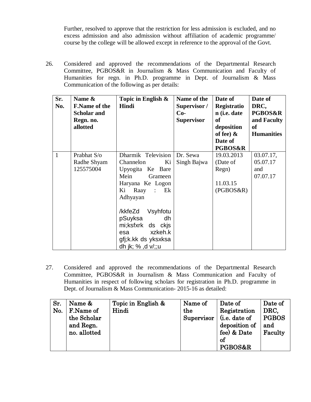Further, resolved to approve that the restriction for less admission is excluded, and no excess admission and also admission without affiliation of academic programme/ course by the college will be allowed except in reference to the approval of the Govt.

26. Considered and approved the recommendations of the Departmental Research Committee, PGBOS&R in Journalism & Mass Communication and Faculty of Humanities for regn. in Ph.D. programme in Dept. of Journalism & Mass Communication of the following as per details:

| Sr.<br>No.   | Name &<br><b>F.Name of the</b><br><b>Scholar and</b><br>Regn. no.<br>allotted | Topic in English &<br>Hindi                                                                                                     | Name of the<br>Supervisor /<br>$Co-$<br><b>Supervisor</b> | Date of<br>Registratio<br>n (i.e. date<br><b>of</b><br>deposition<br>of fee) $\&$<br>Date of<br><b>PGBOS&amp;R</b> | Date of<br>DRC,<br><b>PGBOS&amp;R</b><br>and Faculty<br><b>of</b><br><b>Humanities</b> |
|--------------|-------------------------------------------------------------------------------|---------------------------------------------------------------------------------------------------------------------------------|-----------------------------------------------------------|--------------------------------------------------------------------------------------------------------------------|----------------------------------------------------------------------------------------|
| $\mathbf{1}$ | Prabhat S/o<br>Radhe Shyam<br>125575004                                       | Dharmik Television<br>Channelon<br>Ki<br>Upyogita Ke Bare<br>Mein<br>Grameen<br>Haryana Ke Logon<br>Raay : Ek<br>Ki<br>Adhyayan | Dr. Sewa<br>Singh Bajwa                                   | 19.03.2013<br>(Date of<br>Regn)<br>11.03.15<br>(PGBOS&R)                                                           | 03.07.17,<br>05.07.17<br>and<br>07.07.17                                               |
|              |                                                                               | /kkfeZd<br>Vsyhfotu<br>pSuyksa<br>dh<br>mi;ksfxrk ds ckjs<br>xzkeh.k<br>esa<br>gfj;k.kk ds yksxksa<br>dh jk; % ,d v/;;u         |                                                           |                                                                                                                    |                                                                                        |

27. Considered and approved the recommendations of the Departmental Research Committee, PGBOS&R in Journalism & Mass Communication and Faculty of Humanities in respect of following scholars for registration in Ph.D. programme in Dept. of Journalism & Mass Communication- 2015-16 as detailed:

| Sr.<br>No. | Name &<br>F.Name of<br>the Scholar<br>and Regn.<br>no. allotted | Topic in English &<br>Hindi | Name of<br>the<br>Supervisor | Date of<br>Registration<br>(i.e. date of<br>deposition of<br>fee) & Date<br>of | Date of<br>DRC,<br><b>PGBOS</b><br>and<br>Faculty |
|------------|-----------------------------------------------------------------|-----------------------------|------------------------------|--------------------------------------------------------------------------------|---------------------------------------------------|
|            |                                                                 |                             |                              | PGBOS&R                                                                        |                                                   |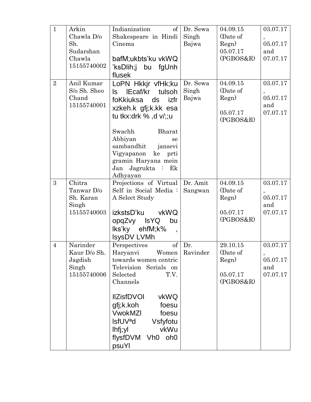| $\mathbf{1}$   | Arkin        | Indianization<br>of <sub>l</sub>      | Dr. Sewa | 04.09.15  | 03.07.17  |
|----------------|--------------|---------------------------------------|----------|-----------|-----------|
|                | Chawla D/o   | Shakespeare in Hindi                  | Singh    | (Date of  |           |
|                | Sh.          | Cinema                                | Bajwa    | Regn)     | 05.07.17  |
|                | Sudarshan    |                                       |          | 05.07.17  | and       |
|                | Chawla       | bafM;ukbts'ku vkWQ                    |          | (PGBOS&R) | 07.07.17  |
|                | 15155740002  | 'ksDlih;j bu fgUnh                    |          |           |           |
|                |              | flusek                                |          |           |           |
| $\overline{2}$ | Anil Kumar   | LoPN Hkkjr vfHk;ku                    | Dr. Sewa | 04.09.15  | 03.07.17  |
|                | S/o Sh. Sheo | IEcaf/kr<br>tulsoh<br>ls.             | Singh    | (Date of  | $\bullet$ |
|                | Chand        | foKkiuksa ds izfr                     | Bajwa    | Regn)     | 05.07.17  |
|                | 15155740001  | xzkeh.k gfj;k.kk esa                  |          |           | and       |
|                |              | tu tkx:drk $%$ , d v/;;u              |          | 05.07.17  | 07.07.17  |
|                |              |                                       |          | (PGBOS&R) |           |
|                |              | Swachh<br><b>Bharat</b>               |          |           |           |
|                |              | Abhiyan<br>se                         |          |           |           |
|                |              | sambandhit<br>jansevi                 |          |           |           |
|                |              | Vigyapanon<br>ke prti                 |          |           |           |
|                |              | gramin Haryana mein                   |          |           |           |
|                |              | Jan Jagrukta : Ek                     |          |           |           |
|                |              | Adhyayan                              |          |           |           |
| 3              | Chitra       | Projections of Virtual                | Dr. Amit | 04.09.15  | 03.07.17  |
|                | Tanwar D/o   | Self in Social Media:                 | Sangwan  | (Date of  |           |
|                | Sh. Karan    | A Select Study                        |          | Regn)     | 05.07.17  |
|                | Singh        |                                       |          |           | and       |
|                | 15155740003  | izkstsD'ku<br>vkWQ                    |          | 05.07.17  | 07.07.17  |
|                |              | opqZvy IsYQ<br>bu                     |          | (PGBOS&R) |           |
|                |              | lks'ky ehfM;k%                        |          |           |           |
|                |              | <b>IsysDV LVMh</b>                    |          |           |           |
| $\overline{4}$ | Narinder     | Perspectives<br>of <sub>1</sub>       | Dr.      | 29.10.15  | 03.07.17  |
|                | Kaur D/o Sh. | Haryanvi Women                        | Ravinder | (Date of  |           |
|                | Jagdish      | towards women centric                 |          | Regn)     | 05.07.17  |
|                | Singh        | Television Serials on                 |          |           | and       |
|                | 15155740006  | T.V.<br>Selected                      |          | 05.07.17  | 07.07.17  |
|                |              | Channels                              |          | (PGBOS&R) |           |
|                |              | <b>IIZisfDVOI</b><br>vkWQ             |          |           |           |
|                |              | gfj;k.koh<br>foesu                    |          |           |           |
|                |              |                                       |          |           |           |
|                |              | <b>VwokMZI</b><br>foesu               |          |           |           |
|                |              | <b>IsfUV<sup>a</sup>d</b><br>Vsfyfotu |          |           |           |
|                |              | vkWu<br>lhfj;yl                       |          |           |           |
|                |              | flysfDVM Vh0 oh0                      |          |           |           |
|                |              | psuYl                                 |          |           |           |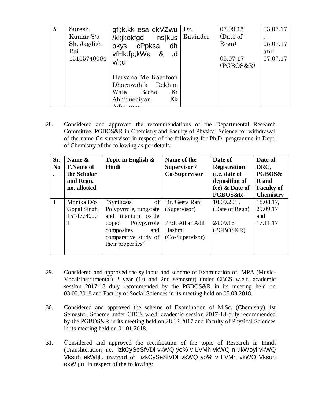| 5 | Suresh<br>Kumar S/o<br>Sh. Jagdish<br>Rai<br>15155740004 | gfj;k.kk esa dkVZwu<br>/kkjkokfgd ns[kus<br>okys cPpksa<br>dh<br>vfHk:fp;kWa &<br>.d<br>$v$ /;;u | Dr.<br>Ravinder | 07.09.15<br>(Date of<br>Regn)<br>05.07.17<br>(PGBOS&R) | 03.07.17<br>$\cdot$<br>05.07.17<br>and<br>07.07.17 |
|---|----------------------------------------------------------|--------------------------------------------------------------------------------------------------|-----------------|--------------------------------------------------------|----------------------------------------------------|
|   |                                                          | Haryana Me Kaartoon<br>Dharawahik Dekhne<br>Ki<br>Wale<br>Becho<br>Abhiruchiyan-<br>Ek           |                 |                                                        |                                                    |

28. Considered and approved the recommendations of the Departmental Research Committee, PGBOS&R in Chemistry and Faculty of Physical Science for withdrawal of the name Co-supervisor in respect of the following for Ph.D. programme in Dept. of Chemistry of the following as per details:

| Sr.<br>N <sub>0</sub> | Name &<br><b>F.Name of</b><br>the Scholar<br>and Regn.<br>no. allotted | Topic in English $\&$<br>Hindi                                                                                                                                   | Name of the<br>Supervisor /<br><b>Co-Supervisor</b>                                | Date of<br><b>Registration</b><br>(i.e. date of<br>deposition of<br>fee) & Date of<br><b>PGBOS&amp;R</b> | Date of<br>DRC,<br>PGBOS&<br><b>R</b> and<br><b>Faculty of</b><br><b>Chemistry</b> |
|-----------------------|------------------------------------------------------------------------|------------------------------------------------------------------------------------------------------------------------------------------------------------------|------------------------------------------------------------------------------------|----------------------------------------------------------------------------------------------------------|------------------------------------------------------------------------------------|
|                       | Monika D/o<br>Gopal Singh<br>1514774000                                | "Synthesis"<br>Polypyrrole, tungstate<br>and titanium<br>oxide<br>Polypyrrole<br>doped<br>composites<br>and<br>comparative study of $\vert$<br>their properties" | of Dr. Geeta Rani<br>(Supervisor)<br>Prof. Athar Adil<br>Hashmi<br>(Co-Supervisor) | 10.09.2015<br>(Date of Regn)<br>24.09.16<br>(PGBOS&R)                                                    | 18.08.17,<br>29.09.17<br>and<br>17.11.17                                           |

- 29. Considered and approved the syllabus and scheme of Examination of MPA (Music-Vocal/Instrumental) 2 year (1st and 2nd semester) under CBCS w.e.f. academic session 2017-18 duly recommended by the PGBOS&R in its meeting held on 03.03.2018 and Faculty of Social Sciences in its meeting held on 05.03.2018.
- 30. Considered and approved the scheme of Examination of M.Sc. (Chemistry) 1st Semester, Scheme under CBCS w.e.f. academic session 2017-18 duly recommended by the PGBOS&R in its meeting held on 28.12.2017 and Faculty of Physical Sciences in its meeting held on 01.01.2018.
- 31. Considered and approved the rectification of the topic of Research in Hindi (Transliteration) i.e. izkCySeSfVDl vkWQ yo% v LVMh vkWQ n ukWoyl vkWQ Vksuh ekWfjlu instead of izkCySeSfVDl vkWQ yo% v LVMh vkWQ Vksuh ekWfjlu in respect of the following: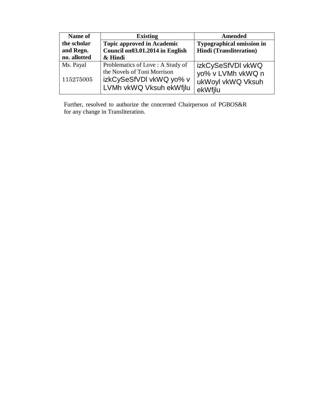| Name of      | <b>Existing</b>                                                                   | <b>Amended</b>                                    |
|--------------|-----------------------------------------------------------------------------------|---------------------------------------------------|
| the scholar  | <b>Topic approved in Academic</b>                                                 | <b>Typographical omission in</b>                  |
| and Regn.    | Council on03.01.2014 in English                                                   | <b>Hindi</b> (Transliteration)                    |
| no. allotted | & Hindi                                                                           |                                                   |
| Ms. Payal    | Problematics of Love: A Study of                                                  | izkCySeSfVDI vkWQ                                 |
| 115275005    | the Novels of Toni Morrison<br>izkCySeSfVDI vkWQ yo% v<br>LVMh vkWQ Vksuh ekWfilu | yo% v LVMh vkWQ n<br>ukWoyl vkWQ Vksuh<br>ekWfilu |

Further, resolved to authorize the concerned Chairperson of PGBOS&R for any change in Transliteration.